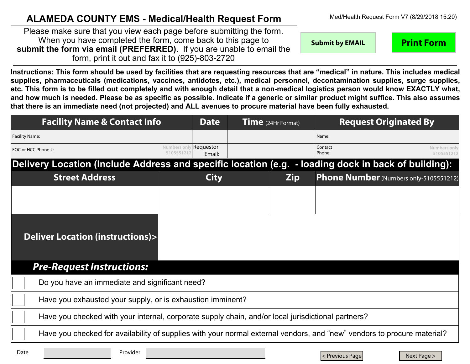## **ALAMEDA COUNTY EMS - Medical/Health Request Form**

**Recall By EMAIL Print Form** DATE/TIME: Please make sure that you view each page before submitting the form. When you have completed the form, come back to this page to **submit the form via email (PREFERRED)**. If you are unable to email the form, print it out and fax it to (925)-803-2720

**Instructions: This form should be used by facilities that are requesting resources that are "medical" in nature. This includes medical supplies, pharmaceuticals (medications, vaccines, antidotes, etc.), medical personnel, decontamination supplies, surge supplies, etc. This form is to be filled out completely and with enough detail that a non-medical logistics person would know EXACTLY what, and how much is needed. Please be as specific as possible. Indicate if a generic or similar product might suffice. This also assumes that there is an immediate need (not projected) and ALL avenues to procure material have been fully exhausted.**

| <b>Facility Name &amp; Contact Info</b>                                                                                 |                                      | <b>Date</b> | Time (24Hr Format) |            | <b>Request Originated By</b> |                                               |                            |  |
|-------------------------------------------------------------------------------------------------------------------------|--------------------------------------|-------------|--------------------|------------|------------------------------|-----------------------------------------------|----------------------------|--|
| <b>Facility Name:</b>                                                                                                   |                                      |             |                    |            | Name:                        |                                               |                            |  |
| EOC or HCC Phone #:                                                                                                     | Numbers only Requestor<br>5105551212 | Email:      |                    |            | Contact<br>Phone:            |                                               | Numbers only<br>5105551212 |  |
| Delivery Location (Include Address and specific location (e.g. - loading dock in back of building):                     |                                      |             |                    |            |                              |                                               |                            |  |
| <b>Street Address</b>                                                                                                   |                                      | <b>City</b> |                    | <b>Zip</b> |                              | <b>Phone Number</b> (Numbers only-5105551212) |                            |  |
|                                                                                                                         |                                      |             |                    |            |                              |                                               |                            |  |
|                                                                                                                         |                                      |             |                    |            |                              |                                               |                            |  |
| <b>Deliver Location (instructions)&gt;</b>                                                                              |                                      |             |                    |            |                              |                                               |                            |  |
| <b>Pre-Request Instructions:</b>                                                                                        |                                      |             |                    |            |                              |                                               |                            |  |
| Do you have an immediate and significant need?                                                                          |                                      |             |                    |            |                              |                                               |                            |  |
| Have you exhausted your supply, or is exhaustion imminent?                                                              |                                      |             |                    |            |                              |                                               |                            |  |
| Have you checked with your internal, corporate supply chain, and/or local jurisdictional partners?                      |                                      |             |                    |            |                              |                                               |                            |  |
| Have you checked for availability of supplies with your normal external vendors, and "new" vendors to procure material? |                                      |             |                    |            |                              |                                               |                            |  |

Date **Provider** 

|< Previous Page | Next Page >